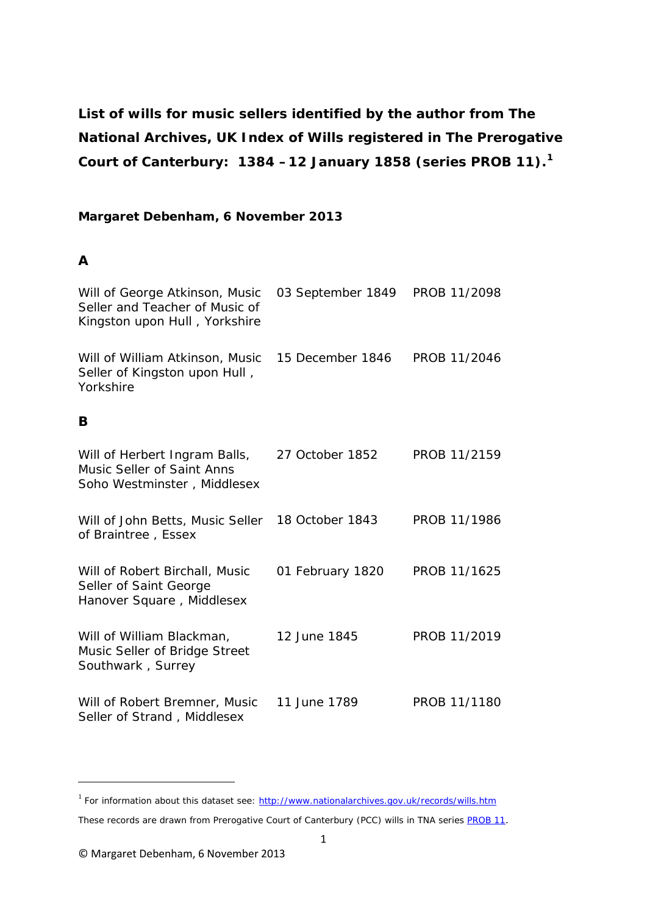**List of wills for music sellers identified by the author from The National Archives, UK Index of Wills registered in The Prerogative Court of Canterbury: 1384 –12 January 1858 (series PROB 11). [1](#page-0-0)**

### **Margaret Debenham, 6 November 2013**

#### **A**

**.** 

| Will of George Atkinson, Music<br>Seller and Teacher of Music of<br>Kingston upon Hull, Yorkshire | 03 September 1849 | PROB 11/2098 |
|---------------------------------------------------------------------------------------------------|-------------------|--------------|
| Will of William Atkinson, Music<br>Seller of Kingston upon Hull,<br>Yorkshire                     | 15 December 1846  | PROB 11/2046 |
| B                                                                                                 |                   |              |
| Will of Herbert Ingram Balls,<br><b>Music Seller of Saint Anns</b><br>Soho Westminster, Middlesex | 27 October 1852   | PROB 11/2159 |
| Will of John Betts, Music Seller<br>of Braintree, Essex                                           | 18 October 1843   | PROB 11/1986 |
| Will of Robert Birchall, Music<br>Seller of Saint George<br>Hanover Square, Middlesex             | 01 February 1820  | PROB 11/1625 |
| Will of William Blackman,<br>Music Seller of Bridge Street<br>Southwark, Surrey                   | 12 June 1845      | PROB 11/2019 |
| Will of Robert Bremner, Music<br>Seller of Strand, Middlesex                                      | 11 June 1789      | PROB 11/1180 |

<span id="page-0-0"></span><sup>&</sup>lt;sup>1</sup> For information about this dataset see:<http://www.nationalarchives.gov.uk/records/wills.htm>

These records are drawn from Prerogative Court of Canterbury (PCC) wills in TNA series **PROB 11**.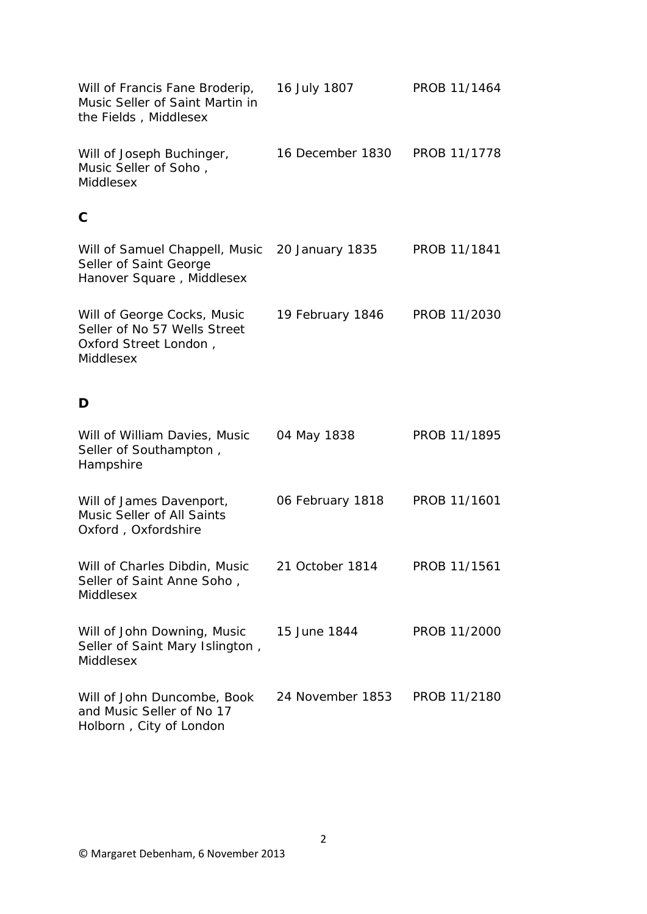| Will of Francis Fane Broderip,<br>Music Seller of Saint Martin in<br>the Fields, Middlesex        | 16 July 1807     | PROB 11/1464 |
|---------------------------------------------------------------------------------------------------|------------------|--------------|
| Will of Joseph Buchinger,<br>Music Seller of Soho,<br>Middlesex                                   | 16 December 1830 | PROB 11/1778 |
| C                                                                                                 |                  |              |
| Will of Samuel Chappell, Music<br>Seller of Saint George<br>Hanover Square, Middlesex             | 20 January 1835  | PROB 11/1841 |
| Will of George Cocks, Music<br>Seller of No 57 Wells Street<br>Oxford Street London,<br>Middlesex | 19 February 1846 | PROB 11/2030 |
| D                                                                                                 |                  |              |
| Will of William Davies, Music<br>Seller of Southampton,<br>Hampshire                              | 04 May 1838      | PROB 11/1895 |
| Will of James Davenport,<br>Music Seller of All Saints<br>Oxford, Oxfordshire                     | 06 February 1818 | PROB 11/1601 |
| Will of Charles Dibdin, Music<br>Seller of Saint Anne Soho,<br>Middlesex                          | 21 October 1814  | PROB 11/1561 |
| Will of John Downing, Music<br>Seller of Saint Mary Islington,<br>Middlesex                       | 15 June 1844     | PROB 11/2000 |
| Will of John Duncombe, Book<br>and Music Seller of No 17<br>Holborn, City of London               | 24 November 1853 | PROB 11/2180 |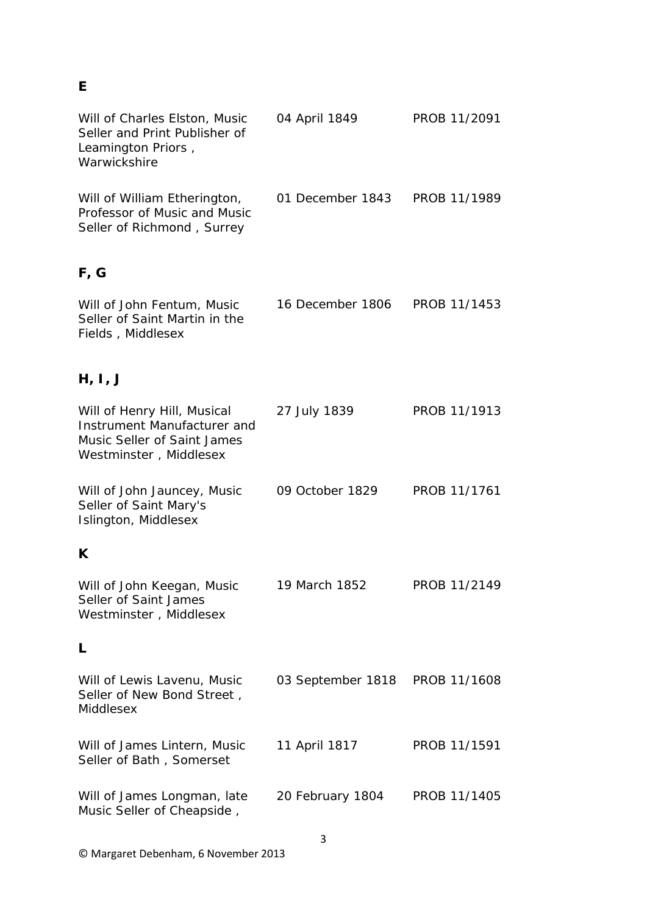### **E**

| Will of Charles Elston, Music<br>Seller and Print Publisher of<br>Leamington Priors,<br>Warwickshire                | 04 April 1849     | PROB 11/2091 |
|---------------------------------------------------------------------------------------------------------------------|-------------------|--------------|
| Will of William Etherington,<br>Professor of Music and Music<br>Seller of Richmond, Surrey                          | 01 December 1843  | PROB 11/1989 |
| F, G                                                                                                                |                   |              |
| Will of John Fentum, Music<br>Seller of Saint Martin in the<br>Fields, Middlesex                                    | 16 December 1806  | PROB 11/1453 |
| H, I, J                                                                                                             |                   |              |
| Will of Henry Hill, Musical<br>Instrument Manufacturer and<br>Music Seller of Saint James<br>Westminster, Middlesex | 27 July 1839      | PROB 11/1913 |
| Will of John Jauncey, Music<br>Seller of Saint Mary's<br>Islington, Middlesex                                       | 09 October 1829   | PROB 11/1761 |
| K                                                                                                                   |                   |              |
| Will of John Keegan, Music<br>Seller of Saint James<br>Westminster, Middlesex                                       | 19 March 1852     | PROB 11/2149 |
| L                                                                                                                   |                   |              |
| Will of Lewis Lavenu, Music<br>Seller of New Bond Street,<br>Middlesex                                              | 03 September 1818 | PROB 11/1608 |
| Will of James Lintern, Music<br>Seller of Bath, Somerset                                                            | 11 April 1817     | PROB 11/1591 |
| Will of James Longman, late<br>Music Seller of Cheapside,                                                           | 20 February 1804  | PROB 11/1405 |
|                                                                                                                     | 3                 |              |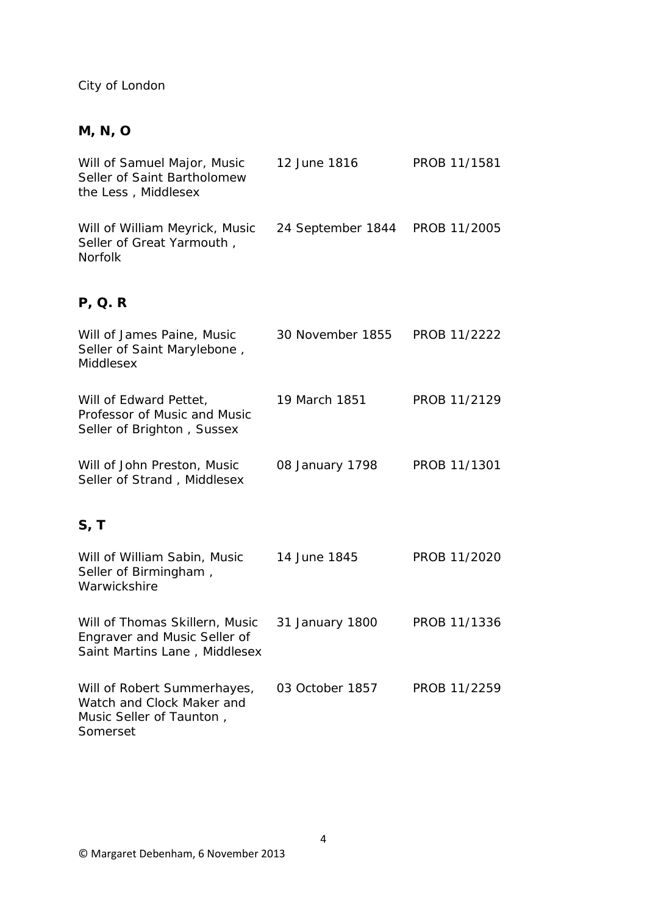## City of London

## **M, N, O**

| Will of Samuel Major, Music<br>Seller of Saint Bartholomew<br>the Less, Middlesex                | 12 June 1816      | PROB 11/1581 |
|--------------------------------------------------------------------------------------------------|-------------------|--------------|
| Will of William Meyrick, Music<br>Seller of Great Yarmouth,<br><b>Norfolk</b>                    | 24 September 1844 | PROB 11/2005 |
| P, Q. R                                                                                          |                   |              |
| Will of James Paine, Music<br>Seller of Saint Marylebone,<br>Middlesex                           | 30 November 1855  | PROB 11/2222 |
| Will of Edward Pettet,<br>Professor of Music and Music<br>Seller of Brighton, Sussex             | 19 March 1851     | PROB 11/2129 |
| Will of John Preston, Music<br>Seller of Strand, Middlesex                                       | 08 January 1798   | PROB 11/1301 |
| S, T                                                                                             |                   |              |
| Will of William Sabin, Music<br>Seller of Birmingham,<br>Warwickshire                            | 14 June 1845      | PROB 11/2020 |
| Will of Thomas Skillern, Music<br>Engraver and Music Seller of<br>Saint Martins Lane, Middlesex  | 31 January 1800   | PROB 11/1336 |
| Will of Robert Summerhayes,<br>Watch and Clock Maker and<br>Music Seller of Taunton,<br>Somerset | 03 October 1857   | PROB 11/2259 |